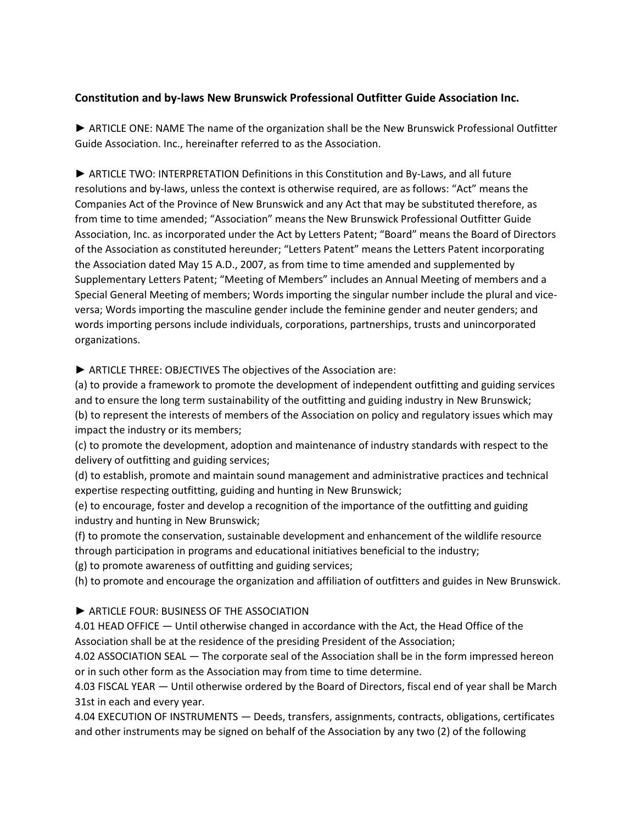# **Constitution and by-laws New Brunswick Professional Outfitter Guide Association Inc.**

► ARTICLE ONE: NAME The name of the organization shall be the New Brunswick Professional Outfitter Guide Association. Inc., hereinafter referred to as the Association.

► ARTICLE TWO: INTERPRETATION Definitions in this Constitution and By-Laws, and all future resolutions and by-laws, unless the context is otherwise required, are as follows: "Act" means the Companies Act of the Province of New Brunswick and any Act that may be substituted therefore, as from time to time amended; "Association" means the New Brunswick Professional Outfitter Guide Association, Inc. as incorporated under the Act by Letters Patent; "Board" means the Board of Directors of the Association as constituted hereunder; "Letters Patent" means the Letters Patent incorporating the Association dated May 15 A.D., 2007, as from time to time amended and supplemented by Supplementary Letters Patent; "Meeting of Members" includes an Annual Meeting of members and a Special General Meeting of members; Words importing the singular number include the plural and viceversa; Words importing the masculine gender include the feminine gender and neuter genders; and words importing persons include individuals, corporations, partnerships, trusts and unincorporated organizations.

► ARTICLE THREE: OBJECTIVES The objectives of the Association are:

(a) to provide a framework to promote the development of independent outfitting and guiding services and to ensure the long term sustainability of the outfitting and guiding industry in New Brunswick; (b) to represent the interests of members of the Association on policy and regulatory issues which may impact the industry or its members;

(c) to promote the development, adoption and maintenance of industry standards with respect to the delivery of outfitting and guiding services;

(d) to establish, promote and maintain sound management and administrative practices and technical expertise respecting outfitting, guiding and hunting in New Brunswick;

(e) to encourage, foster and develop a recognition of the importance of the outfitting and guiding industry and hunting in New Brunswick;

(f) to promote the conservation, sustainable development and enhancement of the wildlife resource through participation in programs and educational initiatives beneficial to the industry;

(g) to promote awareness of outfitting and guiding services;

(h) to promote and encourage the organization and affiliation of outfitters and guides in New Brunswick.

### ► ARTICLE FOUR: BUSINESS OF THE ASSOCIATION

4.01 HEAD OFFICE — Until otherwise changed in accordance with the Act, the Head Office of the Association shall be at the residence of the presiding President of the Association;

4.02 ASSOCIATION SEAL — The corporate seal of the Association shall be in the form impressed hereon or in such other form as the Association may from time to time determine.

4.03 FISCAL YEAR — Until otherwise ordered by the Board of Directors, fiscal end of year shall be March 31st in each and every year.

4.04 EXECUTION OF INSTRUMENTS — Deeds, transfers, assignments, contracts, obligations, certificates and other instruments may be signed on behalf of the Association by any two (2) of the following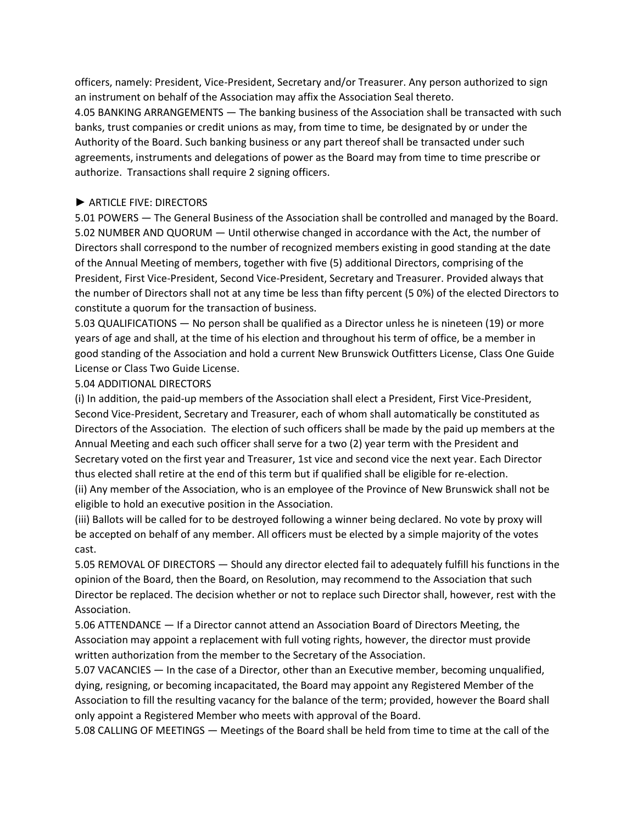officers, namely: President, Vice-President, Secretary and/or Treasurer. Any person authorized to sign an instrument on behalf of the Association may affix the Association Seal thereto.

4.05 BANKING ARRANGEMENTS — The banking business of the Association shall be transacted with such banks, trust companies or credit unions as may, from time to time, be designated by or under the Authority of the Board. Such banking business or any part thereof shall be transacted under such agreements, instruments and delegations of power as the Board may from time to time prescribe or authorize. Transactions shall require 2 signing officers.

### ► ARTICLE FIVE: DIRECTORS

5.01 POWERS — The General Business of the Association shall be controlled and managed by the Board. 5.02 NUMBER AND QUORUM — Until otherwise changed in accordance with the Act, the number of Directors shall correspond to the number of recognized members existing in good standing at the date of the Annual Meeting of members, together with five (5) additional Directors, comprising of the President, First Vice-President, Second Vice-President, Secretary and Treasurer. Provided always that the number of Directors shall not at any time be less than fifty percent (5 0%) of the elected Directors to constitute a quorum for the transaction of business.

5.03 QUALIFICATIONS — No person shall be qualified as a Director unless he is nineteen (19) or more years of age and shall, at the time of his election and throughout his term of office, be a member in good standing of the Association and hold a current New Brunswick Outfitters License, Class One Guide License or Class Two Guide License.

### 5.04 ADDITIONAL DIRECTORS

(i) In addition, the paid-up members of the Association shall elect a President, First Vice-President, Second Vice-President, Secretary and Treasurer, each of whom shall automatically be constituted as Directors of the Association. The election of such officers shall be made by the paid up members at the Annual Meeting and each such officer shall serve for a two (2) year term with the President and Secretary voted on the first year and Treasurer, 1st vice and second vice the next year. Each Director thus elected shall retire at the end of this term but if qualified shall be eligible for re-election.

(ii) Any member of the Association, who is an employee of the Province of New Brunswick shall not be eligible to hold an executive position in the Association.

(iii) Ballots will be called for to be destroyed following a winner being declared. No vote by proxy will be accepted on behalf of any member. All officers must be elected by a simple majority of the votes cast.

5.05 REMOVAL OF DIRECTORS — Should any director elected fail to adequately fulfill his functions in the opinion of the Board, then the Board, on Resolution, may recommend to the Association that such Director be replaced. The decision whether or not to replace such Director shall, however, rest with the Association.

5.06 ATTENDANCE — If a Director cannot attend an Association Board of Directors Meeting, the Association may appoint a replacement with full voting rights, however, the director must provide written authorization from the member to the Secretary of the Association.

5.07 VACANCIES — In the case of a Director, other than an Executive member, becoming unqualified, dying, resigning, or becoming incapacitated, the Board may appoint any Registered Member of the Association to fill the resulting vacancy for the balance of the term; provided, however the Board shall only appoint a Registered Member who meets with approval of the Board.

5.08 CALLING OF MEETINGS — Meetings of the Board shall be held from time to time at the call of the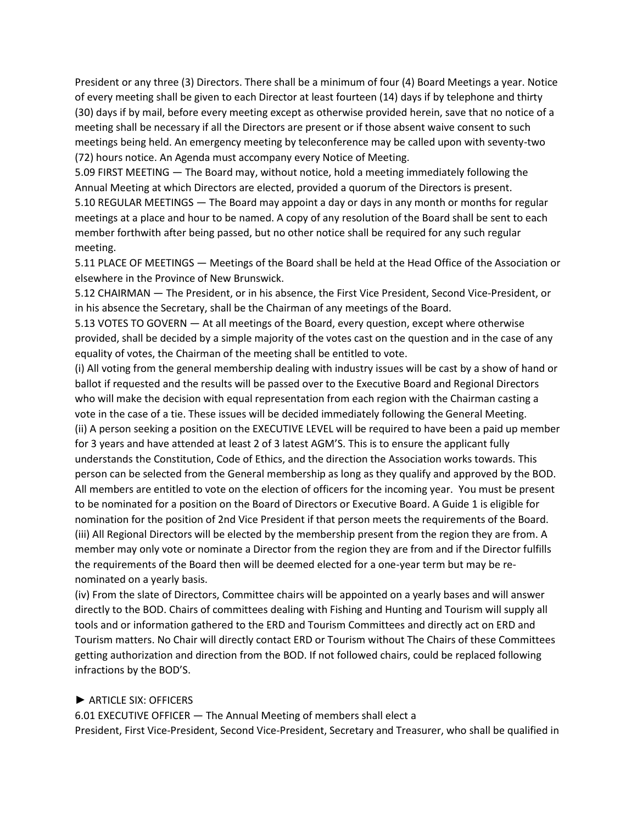President or any three (3) Directors. There shall be a minimum of four (4) Board Meetings a year. Notice of every meeting shall be given to each Director at least fourteen (14) days if by telephone and thirty (30) days if by mail, before every meeting except as otherwise provided herein, save that no notice of a meeting shall be necessary if all the Directors are present or if those absent waive consent to such meetings being held. An emergency meeting by teleconference may be called upon with seventy-two (72) hours notice. An Agenda must accompany every Notice of Meeting.

5.09 FIRST MEETING — The Board may, without notice, hold a meeting immediately following the Annual Meeting at which Directors are elected, provided a quorum of the Directors is present.

5.10 REGULAR MEETINGS — The Board may appoint a day or days in any month or months for regular meetings at a place and hour to be named. A copy of any resolution of the Board shall be sent to each member forthwith after being passed, but no other notice shall be required for any such regular meeting.

5.11 PLACE OF MEETINGS — Meetings of the Board shall be held at the Head Office of the Association or elsewhere in the Province of New Brunswick.

5.12 CHAIRMAN — The President, or in his absence, the First Vice President, Second Vice-President, or in his absence the Secretary, shall be the Chairman of any meetings of the Board.

5.13 VOTES TO GOVERN — At all meetings of the Board, every question, except where otherwise provided, shall be decided by a simple majority of the votes cast on the question and in the case of any equality of votes, the Chairman of the meeting shall be entitled to vote.

(i) All voting from the general membership dealing with industry issues will be cast by a show of hand or ballot if requested and the results will be passed over to the Executive Board and Regional Directors who will make the decision with equal representation from each region with the Chairman casting a vote in the case of a tie. These issues will be decided immediately following the General Meeting. (ii) A person seeking a position on the EXECUTIVE LEVEL will be required to have been a paid up member for 3 years and have attended at least 2 of 3 latest AGM'S. This is to ensure the applicant fully understands the Constitution, Code of Ethics, and the direction the Association works towards. This person can be selected from the General membership as long as they qualify and approved by the BOD. All members are entitled to vote on the election of officers for the incoming year. You must be present to be nominated for a position on the Board of Directors or Executive Board. A Guide 1 is eligible for nomination for the position of 2nd Vice President if that person meets the requirements of the Board. (iii) All Regional Directors will be elected by the membership present from the region they are from. A member may only vote or nominate a Director from the region they are from and if the Director fulfills the requirements of the Board then will be deemed elected for a one-year term but may be renominated on a yearly basis.

(iv) From the slate of Directors, Committee chairs will be appointed on a yearly bases and will answer directly to the BOD. Chairs of committees dealing with Fishing and Hunting and Tourism will supply all tools and or information gathered to the ERD and Tourism Committees and directly act on ERD and Tourism matters. No Chair will directly contact ERD or Tourism without The Chairs of these Committees getting authorization and direction from the BOD. If not followed chairs, could be replaced following infractions by the BOD'S.

### ► ARTICLE SIX: OFFICERS

6.01 EXECUTIVE OFFICER — The Annual Meeting of members shall elect a President, First Vice-President, Second Vice-President, Secretary and Treasurer, who shall be qualified in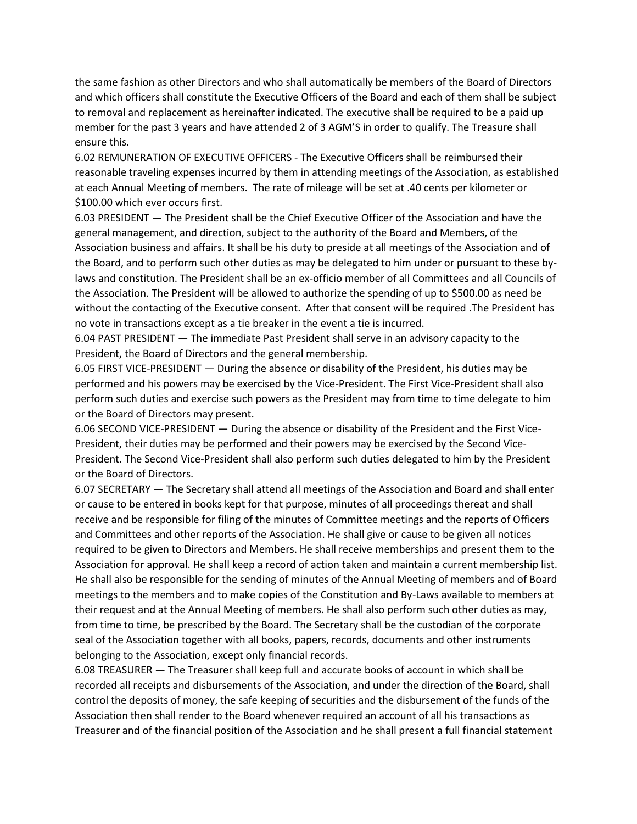the same fashion as other Directors and who shall automatically be members of the Board of Directors and which officers shall constitute the Executive Officers of the Board and each of them shall be subject to removal and replacement as hereinafter indicated. The executive shall be required to be a paid up member for the past 3 years and have attended 2 of 3 AGM'S in order to qualify. The Treasure shall ensure this.

6.02 REMUNERATION OF EXECUTIVE OFFICERS - The Executive Officers shall be reimbursed their reasonable traveling expenses incurred by them in attending meetings of the Association, as established at each Annual Meeting of members. The rate of mileage will be set at .40 cents per kilometer or \$100.00 which ever occurs first.

6.03 PRESIDENT — The President shall be the Chief Executive Officer of the Association and have the general management, and direction, subject to the authority of the Board and Members, of the Association business and affairs. It shall be his duty to preside at all meetings of the Association and of the Board, and to perform such other duties as may be delegated to him under or pursuant to these bylaws and constitution. The President shall be an ex-officio member of all Committees and all Councils of the Association. The President will be allowed to authorize the spending of up to \$500.00 as need be without the contacting of the Executive consent. After that consent will be required .The President has no vote in transactions except as a tie breaker in the event a tie is incurred.

6.04 PAST PRESIDENT — The immediate Past President shall serve in an advisory capacity to the President, the Board of Directors and the general membership.

6.05 FIRST VICE-PRESIDENT — During the absence or disability of the President, his duties may be performed and his powers may be exercised by the Vice-President. The First Vice-President shall also perform such duties and exercise such powers as the President may from time to time delegate to him or the Board of Directors may present.

6.06 SECOND VICE-PRESIDENT — During the absence or disability of the President and the First Vice-President, their duties may be performed and their powers may be exercised by the Second Vice-President. The Second Vice-President shall also perform such duties delegated to him by the President or the Board of Directors.

6.07 SECRETARY — The Secretary shall attend all meetings of the Association and Board and shall enter or cause to be entered in books kept for that purpose, minutes of all proceedings thereat and shall receive and be responsible for filing of the minutes of Committee meetings and the reports of Officers and Committees and other reports of the Association. He shall give or cause to be given all notices required to be given to Directors and Members. He shall receive memberships and present them to the Association for approval. He shall keep a record of action taken and maintain a current membership list. He shall also be responsible for the sending of minutes of the Annual Meeting of members and of Board meetings to the members and to make copies of the Constitution and By-Laws available to members at their request and at the Annual Meeting of members. He shall also perform such other duties as may, from time to time, be prescribed by the Board. The Secretary shall be the custodian of the corporate seal of the Association together with all books, papers, records, documents and other instruments belonging to the Association, except only financial records.

6.08 TREASURER — The Treasurer shall keep full and accurate books of account in which shall be recorded all receipts and disbursements of the Association, and under the direction of the Board, shall control the deposits of money, the safe keeping of securities and the disbursement of the funds of the Association then shall render to the Board whenever required an account of all his transactions as Treasurer and of the financial position of the Association and he shall present a full financial statement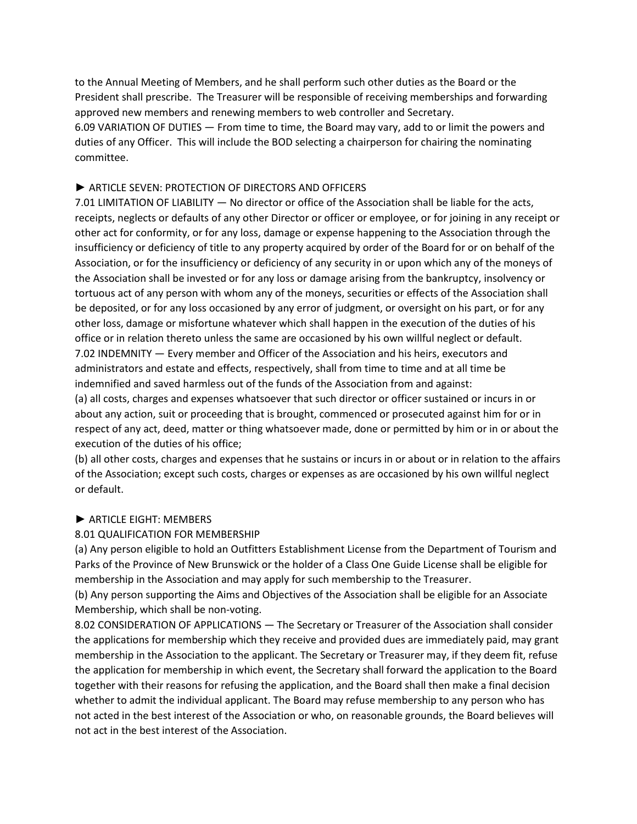to the Annual Meeting of Members, and he shall perform such other duties as the Board or the President shall prescribe. The Treasurer will be responsible of receiving memberships and forwarding approved new members and renewing members to web controller and Secretary.

6.09 VARIATION OF DUTIES — From time to time, the Board may vary, add to or limit the powers and duties of any Officer. This will include the BOD selecting a chairperson for chairing the nominating committee.

### ► ARTICLE SEVEN: PROTECTION OF DIRECTORS AND OFFICERS

7.01 LIMITATION OF LIABILITY — No director or office of the Association shall be liable for the acts, receipts, neglects or defaults of any other Director or officer or employee, or for joining in any receipt or other act for conformity, or for any loss, damage or expense happening to the Association through the insufficiency or deficiency of title to any property acquired by order of the Board for or on behalf of the Association, or for the insufficiency or deficiency of any security in or upon which any of the moneys of the Association shall be invested or for any loss or damage arising from the bankruptcy, insolvency or tortuous act of any person with whom any of the moneys, securities or effects of the Association shall be deposited, or for any loss occasioned by any error of judgment, or oversight on his part, or for any other loss, damage or misfortune whatever which shall happen in the execution of the duties of his office or in relation thereto unless the same are occasioned by his own willful neglect or default. 7.02 INDEMNITY — Every member and Officer of the Association and his heirs, executors and administrators and estate and effects, respectively, shall from time to time and at all time be indemnified and saved harmless out of the funds of the Association from and against:

(a) all costs, charges and expenses whatsoever that such director or officer sustained or incurs in or about any action, suit or proceeding that is brought, commenced or prosecuted against him for or in respect of any act, deed, matter or thing whatsoever made, done or permitted by him or in or about the execution of the duties of his office;

(b) all other costs, charges and expenses that he sustains or incurs in or about or in relation to the affairs of the Association; except such costs, charges or expenses as are occasioned by his own willful neglect or default.

#### ► ARTICLE EIGHT: MEMBERS

### 8.01 QUALIFICATION FOR MEMBERSHIP

(a) Any person eligible to hold an Outfitters Establishment License from the Department of Tourism and Parks of the Province of New Brunswick or the holder of a Class One Guide License shall be eligible for membership in the Association and may apply for such membership to the Treasurer.

(b) Any person supporting the Aims and Objectives of the Association shall be eligible for an Associate Membership, which shall be non-voting.

8.02 CONSIDERATION OF APPLICATIONS — The Secretary or Treasurer of the Association shall consider the applications for membership which they receive and provided dues are immediately paid, may grant membership in the Association to the applicant. The Secretary or Treasurer may, if they deem fit, refuse the application for membership in which event, the Secretary shall forward the application to the Board together with their reasons for refusing the application, and the Board shall then make a final decision whether to admit the individual applicant. The Board may refuse membership to any person who has not acted in the best interest of the Association or who, on reasonable grounds, the Board believes will not act in the best interest of the Association.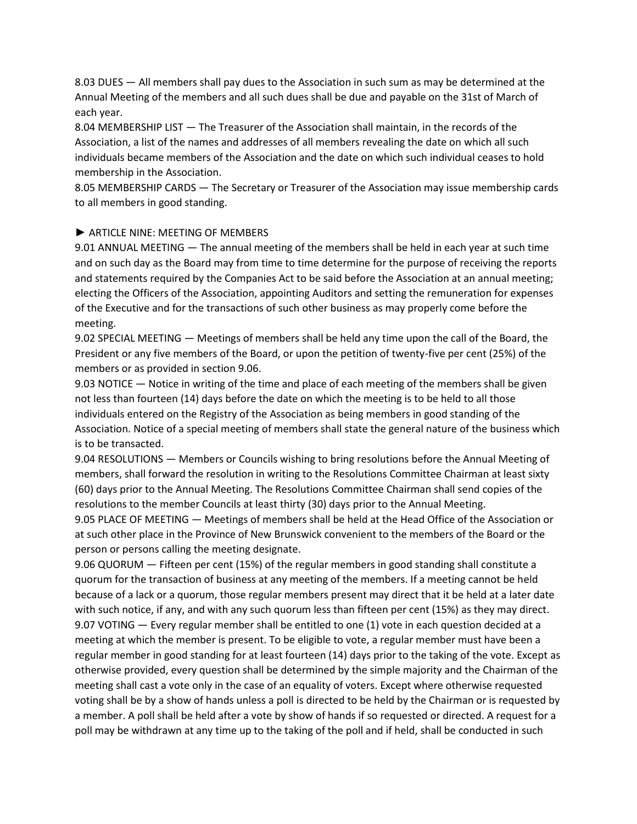8.03 DUES — All members shall pay dues to the Association in such sum as may be determined at the Annual Meeting of the members and all such dues shall be due and payable on the 31st of March of each year.

8.04 MEMBERSHIP LIST — The Treasurer of the Association shall maintain, in the records of the Association, a list of the names and addresses of all members revealing the date on which all such individuals became members of the Association and the date on which such individual ceases to hold membership in the Association.

8.05 MEMBERSHIP CARDS — The Secretary or Treasurer of the Association may issue membership cards to all members in good standing.

### ► ARTICLE NINE: MEETING OF MEMBERS

9.01 ANNUAL MEETING — The annual meeting of the members shall be held in each year at such time and on such day as the Board may from time to time determine for the purpose of receiving the reports and statements required by the Companies Act to be said before the Association at an annual meeting; electing the Officers of the Association, appointing Auditors and setting the remuneration for expenses of the Executive and for the transactions of such other business as may properly come before the meeting.

9.02 SPECIAL MEETING — Meetings of members shall be held any time upon the call of the Board, the President or any five members of the Board, or upon the petition of twenty-five per cent (25%) of the members or as provided in section 9.06.

9.03 NOTICE — Notice in writing of the time and place of each meeting of the members shall be given not less than fourteen (14) days before the date on which the meeting is to be held to all those individuals entered on the Registry of the Association as being members in good standing of the Association. Notice of a special meeting of members shall state the general nature of the business which is to be transacted.

9.04 RESOLUTIONS — Members or Councils wishing to bring resolutions before the Annual Meeting of members, shall forward the resolution in writing to the Resolutions Committee Chairman at least sixty (60) days prior to the Annual Meeting. The Resolutions Committee Chairman shall send copies of the resolutions to the member Councils at least thirty (30) days prior to the Annual Meeting.

9.05 PLACE OF MEETING — Meetings of members shall be held at the Head Office of the Association or at such other place in the Province of New Brunswick convenient to the members of the Board or the person or persons calling the meeting designate.

9.06 QUORUM — Fifteen per cent (15%) of the regular members in good standing shall constitute a quorum for the transaction of business at any meeting of the members. If a meeting cannot be held because of a lack or a quorum, those regular members present may direct that it be held at a later date with such notice, if any, and with any such quorum less than fifteen per cent (15%) as they may direct. 9.07 VOTING — Every regular member shall be entitled to one (1) vote in each question decided at a meeting at which the member is present. To be eligible to vote, a regular member must have been a regular member in good standing for at least fourteen (14) days prior to the taking of the vote. Except as otherwise provided, every question shall be determined by the simple majority and the Chairman of the meeting shall cast a vote only in the case of an equality of voters. Except where otherwise requested voting shall be by a show of hands unless a poll is directed to be held by the Chairman or is requested by a member. A poll shall be held after a vote by show of hands if so requested or directed. A request for a poll may be withdrawn at any time up to the taking of the poll and if held, shall be conducted in such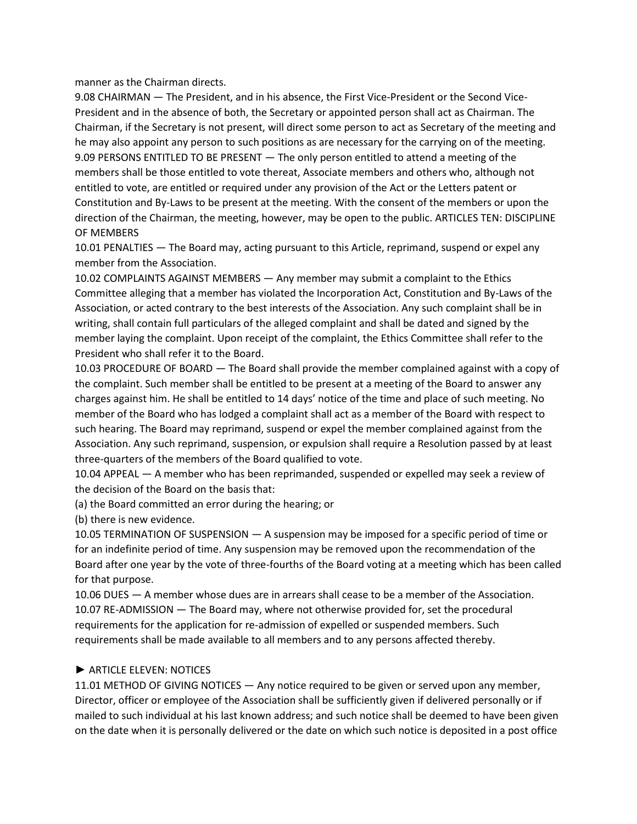manner as the Chairman directs.

9.08 CHAIRMAN — The President, and in his absence, the First Vice-President or the Second Vice-President and in the absence of both, the Secretary or appointed person shall act as Chairman. The Chairman, if the Secretary is not present, will direct some person to act as Secretary of the meeting and he may also appoint any person to such positions as are necessary for the carrying on of the meeting. 9.09 PERSONS ENTITLED TO BE PRESENT — The only person entitled to attend a meeting of the members shall be those entitled to vote thereat, Associate members and others who, although not entitled to vote, are entitled or required under any provision of the Act or the Letters patent or Constitution and By-Laws to be present at the meeting. With the consent of the members or upon the direction of the Chairman, the meeting, however, may be open to the public. ARTICLES TEN: DISCIPLINE OF MEMBERS

10.01 PENALTIES — The Board may, acting pursuant to this Article, reprimand, suspend or expel any member from the Association.

10.02 COMPLAINTS AGAINST MEMBERS — Any member may submit a complaint to the Ethics Committee alleging that a member has violated the Incorporation Act, Constitution and By-Laws of the Association, or acted contrary to the best interests of the Association. Any such complaint shall be in writing, shall contain full particulars of the alleged complaint and shall be dated and signed by the member laying the complaint. Upon receipt of the complaint, the Ethics Committee shall refer to the President who shall refer it to the Board.

10.03 PROCEDURE OF BOARD — The Board shall provide the member complained against with a copy of the complaint. Such member shall be entitled to be present at a meeting of the Board to answer any charges against him. He shall be entitled to 14 days' notice of the time and place of such meeting. No member of the Board who has lodged a complaint shall act as a member of the Board with respect to such hearing. The Board may reprimand, suspend or expel the member complained against from the Association. Any such reprimand, suspension, or expulsion shall require a Resolution passed by at least three-quarters of the members of the Board qualified to vote.

10.04 APPEAL — A member who has been reprimanded, suspended or expelled may seek a review of the decision of the Board on the basis that:

(a) the Board committed an error during the hearing; or

(b) there is new evidence.

10.05 TERMINATION OF SUSPENSION — A suspension may be imposed for a specific period of time or for an indefinite period of time. Any suspension may be removed upon the recommendation of the Board after one year by the vote of three-fourths of the Board voting at a meeting which has been called for that purpose.

10.06 DUES — A member whose dues are in arrears shall cease to be a member of the Association. 10.07 RE-ADMISSION — The Board may, where not otherwise provided for, set the procedural requirements for the application for re-admission of expelled or suspended members. Such requirements shall be made available to all members and to any persons affected thereby.

### ► ARTICLE ELEVEN: NOTICES

11.01 METHOD OF GIVING NOTICES — Any notice required to be given or served upon any member, Director, officer or employee of the Association shall be sufficiently given if delivered personally or if mailed to such individual at his last known address; and such notice shall be deemed to have been given on the date when it is personally delivered or the date on which such notice is deposited in a post office